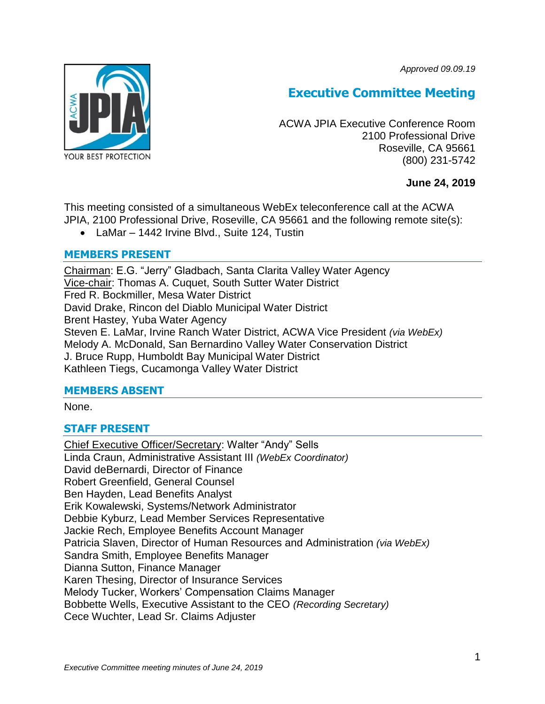*Approved 09.09.19*



# **Executive Committee Meeting**

ACWA JPIA Executive Conference Room 2100 Professional Drive Roseville, CA 95661 (800) 231-5742

# **June 24, 2019**

This meeting consisted of a simultaneous WebEx teleconference call at the ACWA JPIA, 2100 Professional Drive, Roseville, CA 95661 and the following remote site(s):

LaMar – 1442 Irvine Blvd., Suite 124, Tustin

# **MEMBERS PRESENT**

Chairman: E.G. "Jerry" Gladbach, Santa Clarita Valley Water Agency Vice-chair: Thomas A. Cuquet, South Sutter Water District Fred R. Bockmiller, Mesa Water District David Drake, Rincon del Diablo Municipal Water District Brent Hastey, Yuba Water Agency Steven E. LaMar, Irvine Ranch Water District, ACWA Vice President *(via WebEx)* Melody A. McDonald, San Bernardino Valley Water Conservation District J. Bruce Rupp, Humboldt Bay Municipal Water District Kathleen Tiegs, Cucamonga Valley Water District

# **MEMBERS ABSENT**

None.

# **STAFF PRESENT**

Chief Executive Officer/Secretary: Walter "Andy" Sells Linda Craun, Administrative Assistant III *(WebEx Coordinator)* David deBernardi, Director of Finance Robert Greenfield, General Counsel Ben Hayden, Lead Benefits Analyst Erik Kowalewski, Systems/Network Administrator Debbie Kyburz, Lead Member Services Representative Jackie Rech, Employee Benefits Account Manager Patricia Slaven, Director of Human Resources and Administration *(via WebEx)* Sandra Smith, Employee Benefits Manager Dianna Sutton, Finance Manager Karen Thesing, Director of Insurance Services Melody Tucker, Workers' Compensation Claims Manager Bobbette Wells, Executive Assistant to the CEO *(Recording Secretary)* Cece Wuchter, Lead Sr. Claims Adjuster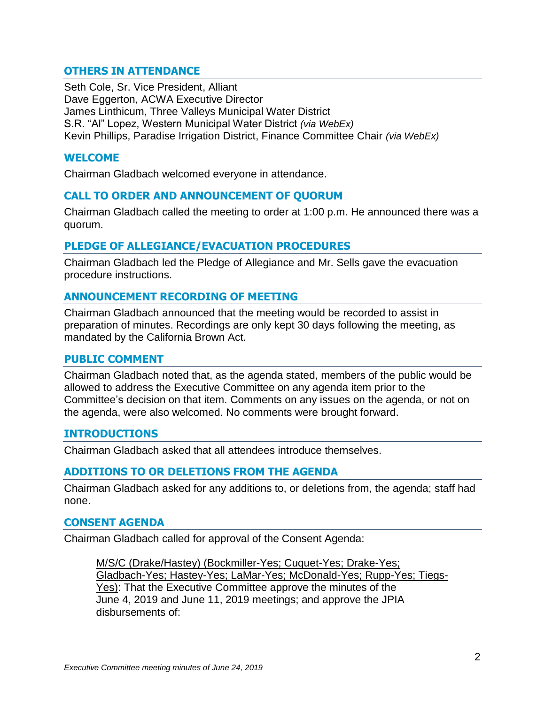# **OTHERS IN ATTENDANCE**

Seth Cole, Sr. Vice President, Alliant Dave Eggerton, ACWA Executive Director James Linthicum, Three Valleys Municipal Water District S.R. "Al" Lopez, Western Municipal Water District *(via WebEx)* Kevin Phillips, Paradise Irrigation District, Finance Committee Chair *(via WebEx)*

#### **WELCOME**

Chairman Gladbach welcomed everyone in attendance.

#### **CALL TO ORDER AND ANNOUNCEMENT OF QUORUM**

Chairman Gladbach called the meeting to order at 1:00 p.m. He announced there was a quorum.

#### **PLEDGE OF ALLEGIANCE/EVACUATION PROCEDURES**

Chairman Gladbach led the Pledge of Allegiance and Mr. Sells gave the evacuation procedure instructions.

## **ANNOUNCEMENT RECORDING OF MEETING**

Chairman Gladbach announced that the meeting would be recorded to assist in preparation of minutes. Recordings are only kept 30 days following the meeting, as mandated by the California Brown Act.

#### **PUBLIC COMMENT**

Chairman Gladbach noted that, as the agenda stated, members of the public would be allowed to address the Executive Committee on any agenda item prior to the Committee's decision on that item. Comments on any issues on the agenda, or not on the agenda, were also welcomed. No comments were brought forward.

## **INTRODUCTIONS**

Chairman Gladbach asked that all attendees introduce themselves.

## **ADDITIONS TO OR DELETIONS FROM THE AGENDA**

Chairman Gladbach asked for any additions to, or deletions from, the agenda; staff had none.

#### **CONSENT AGENDA**

Chairman Gladbach called for approval of the Consent Agenda:

M/S/C (Drake/Hastey) (Bockmiller-Yes; Cuquet-Yes; Drake-Yes; Gladbach-Yes; Hastey-Yes; LaMar-Yes; McDonald-Yes; Rupp-Yes; Tiegs-Yes): That the Executive Committee approve the minutes of the June 4, 2019 and June 11, 2019 meetings; and approve the JPIA disbursements of: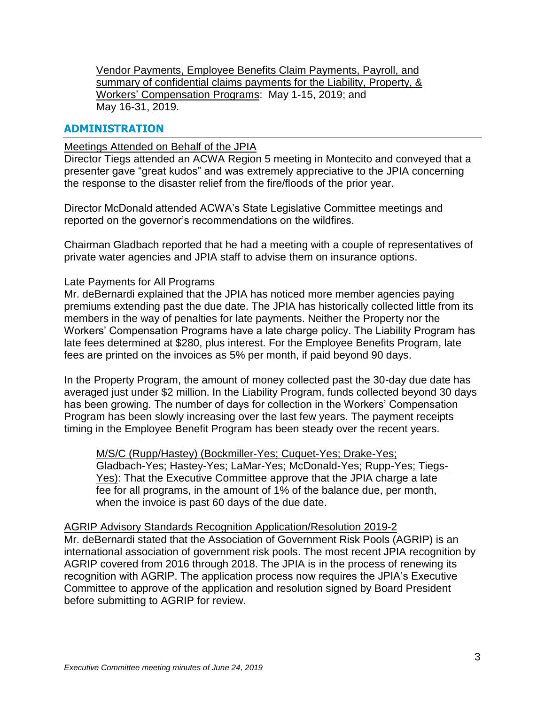Vendor Payments, Employee Benefits Claim Payments, Payroll, and summary of confidential claims payments for the Liability, Property, & Workers' Compensation Programs: May 1-15, 2019; and May 16-31, 2019.

# **ADMINISTRATION**

#### Meetings Attended on Behalf of the JPIA

Director Tiegs attended an ACWA Region 5 meeting in Montecito and conveyed that a presenter gave "great kudos" and was extremely appreciative to the JPIA concerning the response to the disaster relief from the fire/floods of the prior year.

Director McDonald attended ACWA's State Legislative Committee meetings and reported on the governor's recommendations on the wildfires.

Chairman Gladbach reported that he had a meeting with a couple of representatives of private water agencies and JPIA staff to advise them on insurance options.

## Late Payments for All Programs

Mr. deBernardi explained that the JPIA has noticed more member agencies paying premiums extending past the due date. The JPIA has historically collected little from its members in the way of penalties for late payments. Neither the Property nor the Workers' Compensation Programs have a late charge policy. The Liability Program has late fees determined at \$280, plus interest. For the Employee Benefits Program, late fees are printed on the invoices as 5% per month, if paid beyond 90 days.

In the Property Program, the amount of money collected past the 30-day due date has averaged just under \$2 million. In the Liability Program, funds collected beyond 30 days has been growing. The number of days for collection in the Workers' Compensation Program has been slowly increasing over the last few years. The payment receipts timing in the Employee Benefit Program has been steady over the recent years.

M/S/C (Rupp/Hastey) (Bockmiller-Yes; Cuquet-Yes; Drake-Yes; Gladbach-Yes; Hastey-Yes; LaMar-Yes; McDonald-Yes; Rupp-Yes; Tiegs-Yes): That the Executive Committee approve that the JPIA charge a late fee for all programs, in the amount of 1% of the balance due, per month, when the invoice is past 60 days of the due date.

#### AGRIP Advisory Standards Recognition Application/Resolution 2019-2

Mr. deBernardi stated that the Association of Government Risk Pools (AGRIP) is an international association of government risk pools. The most recent JPIA recognition by AGRIP covered from 2016 through 2018. The JPIA is in the process of renewing its recognition with AGRIP. The application process now requires the JPIA's Executive Committee to approve of the application and resolution signed by Board President before submitting to AGRIP for review.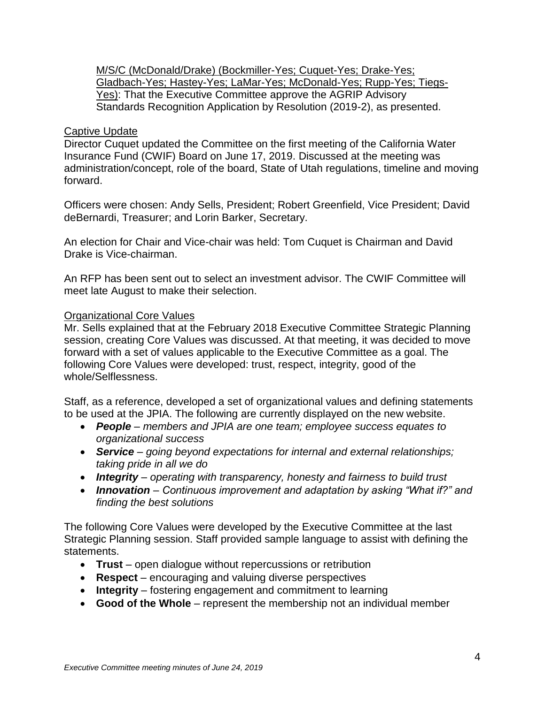M/S/C (McDonald/Drake) (Bockmiller-Yes; Cuquet-Yes; Drake-Yes; Gladbach-Yes; Hastey-Yes; LaMar-Yes; McDonald-Yes; Rupp-Yes; Tiegs-Yes): That the Executive Committee approve the AGRIP Advisory Standards Recognition Application by Resolution (2019-2), as presented.

## Captive Update

Director Cuquet updated the Committee on the first meeting of the California Water Insurance Fund (CWIF) Board on June 17, 2019. Discussed at the meeting was administration/concept, role of the board, State of Utah regulations, timeline and moving forward.

Officers were chosen: Andy Sells, President; Robert Greenfield, Vice President; David deBernardi, Treasurer; and Lorin Barker, Secretary.

An election for Chair and Vice-chair was held: Tom Cuquet is Chairman and David Drake is Vice-chairman.

An RFP has been sent out to select an investment advisor. The CWIF Committee will meet late August to make their selection.

## Organizational Core Values

Mr. Sells explained that at the February 2018 Executive Committee Strategic Planning session, creating Core Values was discussed. At that meeting, it was decided to move forward with a set of values applicable to the Executive Committee as a goal. The following Core Values were developed: trust, respect, integrity, good of the whole/Selflessness.

Staff, as a reference, developed a set of organizational values and defining statements to be used at the JPIA. The following are currently displayed on the new website.

- *People – members and JPIA are one team; employee success equates to organizational success*
- *Service – going beyond expectations for internal and external relationships; taking pride in all we do*
- *Integrity – operating with transparency, honesty and fairness to build trust*
- *Innovation – Continuous improvement and adaptation by asking "What if?" and finding the best solutions*

The following Core Values were developed by the Executive Committee at the last Strategic Planning session. Staff provided sample language to assist with defining the statements.

- **Trust** open dialogue without repercussions or retribution
- **Respect** encouraging and valuing diverse perspectives
- **Integrity** fostering engagement and commitment to learning
- **Good of the Whole** represent the membership not an individual member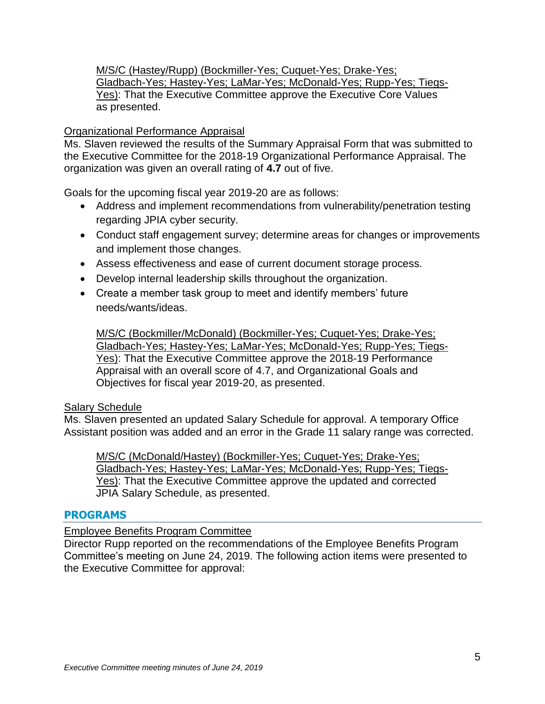M/S/C (Hastey/Rupp) (Bockmiller-Yes; Cuquet-Yes; Drake-Yes; Gladbach-Yes; Hastey-Yes; LaMar-Yes; McDonald-Yes; Rupp-Yes; Tiegs-Yes): That the Executive Committee approve the Executive Core Values as presented.

## Organizational Performance Appraisal

Ms. Slaven reviewed the results of the Summary Appraisal Form that was submitted to the Executive Committee for the 2018-19 Organizational Performance Appraisal. The organization was given an overall rating of **4.7** out of five.

Goals for the upcoming fiscal year 2019-20 are as follows:

- Address and implement recommendations from vulnerability/penetration testing regarding JPIA cyber security.
- Conduct staff engagement survey; determine areas for changes or improvements and implement those changes.
- Assess effectiveness and ease of current document storage process.
- Develop internal leadership skills throughout the organization.
- Create a member task group to meet and identify members' future needs/wants/ideas.

M/S/C (Bockmiller/McDonald) (Bockmiller-Yes; Cuquet-Yes; Drake-Yes; Gladbach-Yes; Hastey-Yes; LaMar-Yes; McDonald-Yes; Rupp-Yes; Tiegs-Yes): That the Executive Committee approve the 2018-19 Performance Appraisal with an overall score of 4.7, and Organizational Goals and Objectives for fiscal year 2019-20, as presented.

## Salary Schedule

Ms. Slaven presented an updated Salary Schedule for approval. A temporary Office Assistant position was added and an error in the Grade 11 salary range was corrected.

M/S/C (McDonald/Hastey) (Bockmiller-Yes; Cuquet-Yes; Drake-Yes; Gladbach-Yes; Hastey-Yes; LaMar-Yes; McDonald-Yes; Rupp-Yes; Tiegs-Yes): That the Executive Committee approve the updated and corrected JPIA Salary Schedule, as presented.

## **PROGRAMS**

## Employee Benefits Program Committee

Director Rupp reported on the recommendations of the Employee Benefits Program Committee's meeting on June 24, 2019. The following action items were presented to the Executive Committee for approval: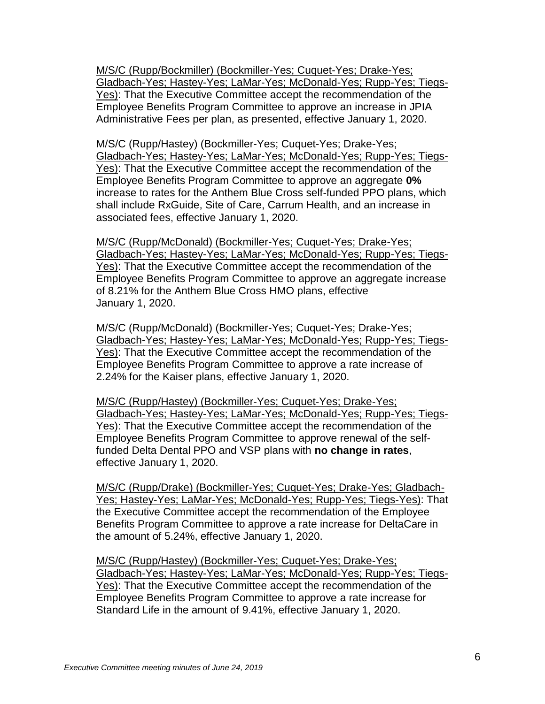M/S/C (Rupp/Bockmiller) (Bockmiller-Yes; Cuquet-Yes; Drake-Yes; Gladbach-Yes; Hastey-Yes; LaMar-Yes; McDonald-Yes; Rupp-Yes; Tiegs-Yes): That the Executive Committee accept the recommendation of the Employee Benefits Program Committee to approve an increase in JPIA Administrative Fees per plan, as presented, effective January 1, 2020.

M/S/C (Rupp/Hastey) (Bockmiller-Yes; Cuquet-Yes; Drake-Yes; Gladbach-Yes; Hastey-Yes; LaMar-Yes; McDonald-Yes; Rupp-Yes; Tiegs-Yes): That the Executive Committee accept the recommendation of the Employee Benefits Program Committee to approve an aggregate **0%** increase to rates for the Anthem Blue Cross self-funded PPO plans, which shall include RxGuide, Site of Care, Carrum Health, and an increase in associated fees, effective January 1, 2020.

M/S/C (Rupp/McDonald) (Bockmiller-Yes; Cuquet-Yes; Drake-Yes; Gladbach-Yes; Hastey-Yes; LaMar-Yes; McDonald-Yes; Rupp-Yes; Tiegs-Yes): That the Executive Committee accept the recommendation of the Employee Benefits Program Committee to approve an aggregate increase of 8.21% for the Anthem Blue Cross HMO plans, effective January 1, 2020.

M/S/C (Rupp/McDonald) (Bockmiller-Yes; Cuquet-Yes; Drake-Yes; Gladbach-Yes; Hastey-Yes; LaMar-Yes; McDonald-Yes; Rupp-Yes; Tiegs-Yes): That the Executive Committee accept the recommendation of the Employee Benefits Program Committee to approve a rate increase of 2.24% for the Kaiser plans, effective January 1, 2020.

M/S/C (Rupp/Hastey) (Bockmiller-Yes; Cuquet-Yes; Drake-Yes; Gladbach-Yes; Hastey-Yes; LaMar-Yes; McDonald-Yes; Rupp-Yes; Tiegs-Yes): That the Executive Committee accept the recommendation of the Employee Benefits Program Committee to approve renewal of the selffunded Delta Dental PPO and VSP plans with **no change in rates**, effective January 1, 2020.

M/S/C (Rupp/Drake) (Bockmiller-Yes; Cuquet-Yes; Drake-Yes; Gladbach-Yes; Hastey-Yes; LaMar-Yes; McDonald-Yes; Rupp-Yes; Tiegs-Yes): That the Executive Committee accept the recommendation of the Employee Benefits Program Committee to approve a rate increase for DeltaCare in the amount of 5.24%, effective January 1, 2020.

M/S/C (Rupp/Hastey) (Bockmiller-Yes; Cuquet-Yes; Drake-Yes; Gladbach-Yes; Hastey-Yes; LaMar-Yes; McDonald-Yes; Rupp-Yes; Tiegs-Yes): That the Executive Committee accept the recommendation of the Employee Benefits Program Committee to approve a rate increase for Standard Life in the amount of 9.41%, effective January 1, 2020.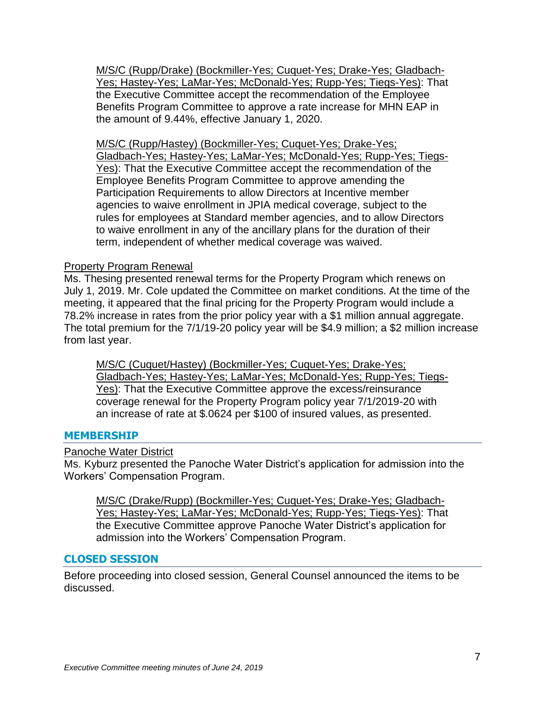M/S/C (Rupp/Drake) (Bockmiller-Yes; Cuquet-Yes; Drake-Yes; Gladbach-Yes; Hastey-Yes; LaMar-Yes; McDonald-Yes; Rupp-Yes; Tiegs-Yes): That the Executive Committee accept the recommendation of the Employee Benefits Program Committee to approve a rate increase for MHN EAP in the amount of 9.44%, effective January 1, 2020.

M/S/C (Rupp/Hastey) (Bockmiller-Yes; Cuquet-Yes; Drake-Yes; Gladbach-Yes; Hastey-Yes; LaMar-Yes; McDonald-Yes; Rupp-Yes; Tiegs-Yes): That the Executive Committee accept the recommendation of the Employee Benefits Program Committee to approve amending the Participation Requirements to allow Directors at Incentive member agencies to waive enrollment in JPIA medical coverage, subject to the rules for employees at Standard member agencies, and to allow Directors to waive enrollment in any of the ancillary plans for the duration of their term, independent of whether medical coverage was waived.

## Property Program Renewal

Ms. Thesing presented renewal terms for the Property Program which renews on July 1, 2019. Mr. Cole updated the Committee on market conditions. At the time of the meeting, it appeared that the final pricing for the Property Program would include a 78.2% increase in rates from the prior policy year with a \$1 million annual aggregate. The total premium for the 7/1/19-20 policy year will be \$4.9 million; a \$2 million increase from last year.

M/S/C (Cuquet/Hastey) (Bockmiller-Yes; Cuquet-Yes; Drake-Yes; Gladbach-Yes; Hastey-Yes; LaMar-Yes; McDonald-Yes; Rupp-Yes; Tiegs-Yes): That the Executive Committee approve the excess/reinsurance coverage renewal for the Property Program policy year 7/1/2019-20 with an increase of rate at \$.0624 per \$100 of insured values, as presented.

## **MEMBERSHIP**

Panoche Water District

Ms. Kyburz presented the Panoche Water District's application for admission into the Workers' Compensation Program.

M/S/C (Drake/Rupp) (Bockmiller-Yes; Cuquet-Yes; Drake-Yes; Gladbach-Yes; Hastey-Yes; LaMar-Yes; McDonald-Yes; Rupp-Yes; Tiegs-Yes): That the Executive Committee approve Panoche Water District's application for admission into the Workers' Compensation Program.

# **CLOSED SESSION**

Before proceeding into closed session, General Counsel announced the items to be discussed.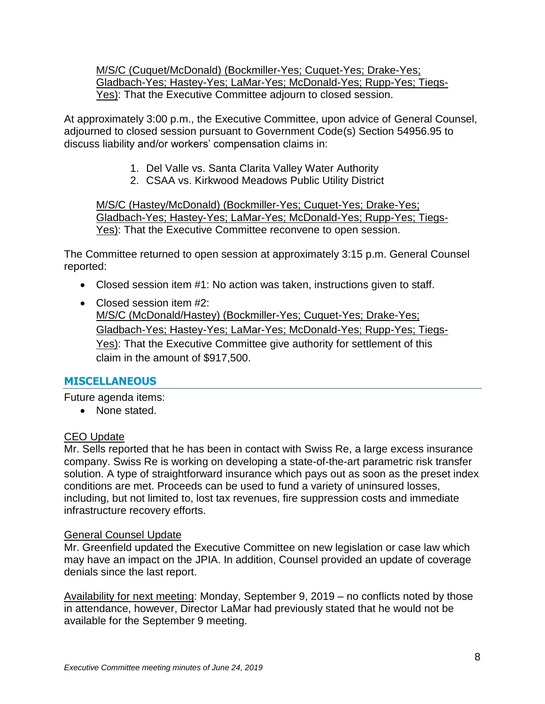M/S/C (Cuquet/McDonald) (Bockmiller-Yes; Cuquet-Yes; Drake-Yes; Gladbach-Yes; Hastey-Yes; LaMar-Yes; McDonald-Yes; Rupp-Yes; Tiegs-Yes): That the Executive Committee adjourn to closed session.

At approximately 3:00 p.m., the Executive Committee, upon advice of General Counsel, adjourned to closed session pursuant to Government Code(s) Section 54956.95 to discuss liability and/or workers' compensation claims in:

- 1. Del Valle vs. Santa Clarita Valley Water Authority
- 2. CSAA vs. Kirkwood Meadows Public Utility District

M/S/C (Hastey/McDonald) (Bockmiller-Yes; Cuquet-Yes; Drake-Yes; Gladbach-Yes; Hastey-Yes; LaMar-Yes; McDonald-Yes; Rupp-Yes; Tiegs-Yes): That the Executive Committee reconvene to open session.

The Committee returned to open session at approximately 3:15 p.m. General Counsel reported:

- Closed session item #1: No action was taken, instructions given to staff.
- Closed session item #2: M/S/C (McDonald/Hastey) (Bockmiller-Yes; Cuquet-Yes; Drake-Yes; Gladbach-Yes; Hastey-Yes; LaMar-Yes; McDonald-Yes; Rupp-Yes; Tiegs-Yes): That the Executive Committee give authority for settlement of this claim in the amount of \$917,500.

# **MISCELLANEOUS**

Future agenda items:

• None stated.

# CEO Update

Mr. Sells reported that he has been in contact with Swiss Re, a large excess insurance company. Swiss Re is working on developing a state-of-the-art parametric risk transfer solution. A type of straightforward insurance which pays out as soon as the preset index conditions are met. Proceeds can be used to fund a variety of uninsured losses, including, but not limited to, lost tax revenues, fire suppression costs and immediate infrastructure recovery efforts.

# General Counsel Update

Mr. Greenfield updated the Executive Committee on new legislation or case law which may have an impact on the JPIA. In addition, Counsel provided an update of coverage denials since the last report.

Availability for next meeting: Monday, September 9, 2019 – no conflicts noted by those in attendance, however, Director LaMar had previously stated that he would not be available for the September 9 meeting.